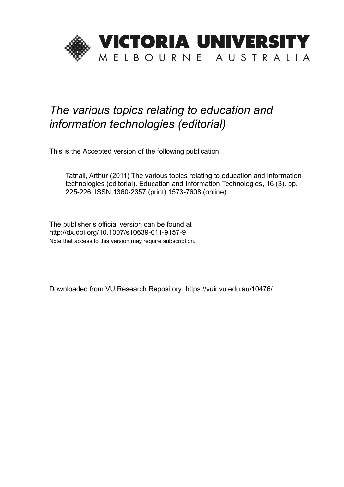

## *The various topics relating to education and information technologies (editorial)*

This is the Accepted version of the following publication

Tatnall, Arthur (2011) The various topics relating to education and information technologies (editorial). Education and Information Technologies, 16 (3). pp. 225-226. ISSN 1360-2357 (print) 1573-7608 (online)

The publisher's official version can be found at http://dx.doi.org/10.1007/s10639-011-9157-9 Note that access to this version may require subscription.

Downloaded from VU Research Repository https://vuir.vu.edu.au/10476/